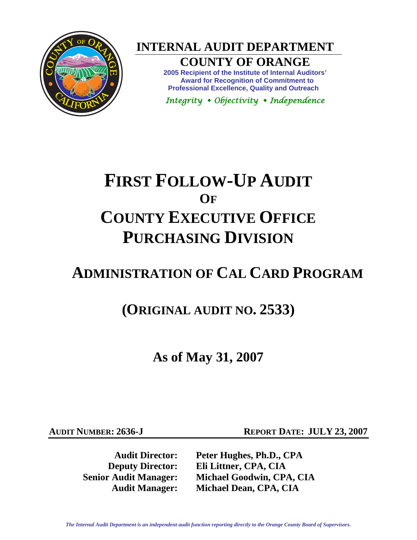

**INTERNAL AUDIT DEPARTMENT** 

## **COUNTY OF ORANGE**

**2005 Recipient of the Institute of Internal Auditors' Award for Recognition of Commitment to Professional Excellence, Quality and Outreach** 

*Integrity Objectivity Independence* 

# **FIRST FOLLOW-UP AUDIT OF COUNTY EXECUTIVE OFFICE PURCHASING DIVISION**

## **ADMINISTRATION OF CAL CARD PROGRAM**

**(ORIGINAL AUDIT NO. 2533)**

**As of May 31, 2007** 

**AUDIT NUMBER: 2636-J REPORT DATE: JULY 23, 2007** 

**Audit Director: Peter Hughes, Ph.D., CPA Deputy Director: Eli Littner, CPA, CIA Senior Audit Manager: Michael Goodwin, CPA, CIA Audit Manager: Michael Dean, CPA, CIA**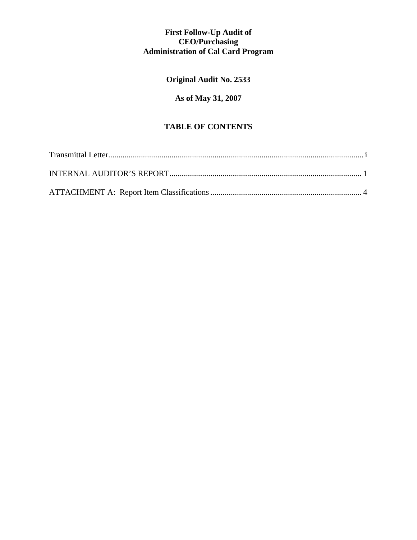## **First Follow-Up Audit of CEO/Purchasing Administration of Cal Card Program**

## **Original Audit No. 2533**

## **As of May 31, 2007**

## **TABLE OF CONTENTS**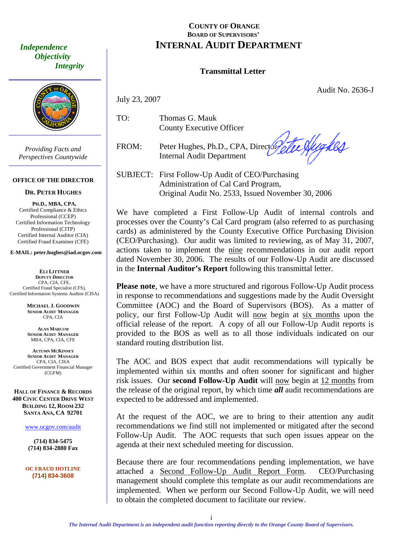*Objectivity Integrity* 



*Providing Facts and Perspectives Countywide* 

#### **OFFICE OF THE DIRECTOR**

#### **DR. PETER HUGHES**

**PH.D., MBA, CPA,**  Certified Compliance & Ethics Professional (CCEP) Certified Information Technology Professional (CITP) Certified Internal Auditor (CIA) Certified Fraud Examiner (CFE)

**E-MAIL: peter.hughes@iad.ocgov.com** 

**ELI LITTNER DEPUTY DIRECTOR** CPA, CIA, CFE, Certified Fraud Specialist (CFS), Certified Information Systems Auditor (CISA)

> **MICHAEL J. GOODWIN SENIOR AUDIT MANAGER** CPA, CIA

**ALAN MARCUM SENIOR AUDIT MANAGER** MBA, CPA, CIA, CFE

**AUTUMN MCKINNEY SENIOR AUDIT MANAGER** CPA, CIA, CISA Certified Government Financial Manager (CGFM)

**HALL OF FINANCE & RECORDS 400 CIVIC CENTER DRIVE WEST BUILDING 12, ROOM 232 SANTA ANA, CA 92701** 

www.ocgov.com/audit

**(714) 834-5475 (714) 834-2880 Fax** 

**OC FRAUD HOTLINE (714) 834-3608** 

## <span id="page-2-0"></span> **COUNTY OF ORANGE BOARD OF SUPERVISORS'**  *Independence INTERNAL AUDIT DEPARTMENT*

#### **Transmittal Letter**

Audit No. 2636-J

July 23, 2007

TO: Thomas G. Mauk County Executive Officer

FROM: Peter Hughes, Ph.D., CPA, Directory Internal Audit Department

te Sfighes

SUBJECT: First Follow-Up Audit of CEO/Purchasing Administration of Cal Card Program, Original Audit No. 2533, Issued November 30, 2006

We have completed a First Follow-Up Audit of internal controls and processes over the County's Cal Card program (also referred to as purchasing cards) as administered by the County Executive Office Purchasing Division (CEO/Purchasing). Our audit was limited to reviewing, as of May 31, 2007, actions taken to implement the nine recommendations in our audit report dated November 30, 2006. The results of our Follow-Up Audit are discussed in the **Internal Auditor's Report** following this transmittal letter.

**Please note**, we have a more structured and rigorous Follow-Up Audit process in response to recommendations and suggestions made by the Audit Oversight Committee (AOC) and the Board of Supervisors (BOS). As a matter of policy, our first Follow-Up Audit will now begin at six months upon the official release of the report. A copy of all our Follow-Up Audit reports is provided to the BOS as well as to all those individuals indicated on our standard routing distribution list.

The AOC and BOS expect that audit recommendations will typically be implemented within six months and often sooner for significant and higher risk issues. Our **second Follow-Up Audit** will now begin at 12 months from the release of the original report, by which time *all* audit recommendations are expected to be addressed and implemented.

At the request of the AOC, we are to bring to their attention any audit recommendations we find still not implemented or mitigated after the second Follow-Up Audit. The AOC requests that such open issues appear on the agenda at their next scheduled meeting for discussion.

Because there are four recommendations pending implementation, we have attached a Second Follow-Up Audit Report Form. CEO/Purchasing management should complete this template as our audit recommendations are implemented. When we perform our Second Follow-Up Audit, we will need to obtain the completed document to facilitate our review.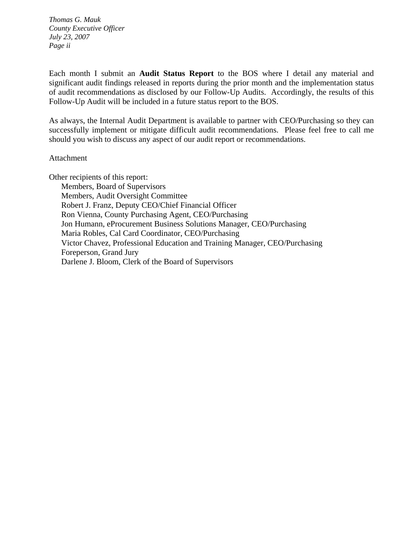*Thomas G. Mauk County Executive Officer July 23, 2007 Page ii* 

Each month I submit an **Audit Status Report** to the BOS where I detail any material and significant audit findings released in reports during the prior month and the implementation status of audit recommendations as disclosed by our Follow-Up Audits. Accordingly, the results of this Follow-Up Audit will be included in a future status report to the BOS.

As always, the Internal Audit Department is available to partner with CEO/Purchasing so they can successfully implement or mitigate difficult audit recommendations. Please feel free to call me should you wish to discuss any aspect of our audit report or recommendations.

#### Attachment

Other recipients of this report:

 Members, Board of Supervisors Members, Audit Oversight Committee Robert J. Franz, Deputy CEO/Chief Financial Officer Ron Vienna, County Purchasing Agent, CEO/Purchasing Jon Humann, eProcurement Business Solutions Manager, CEO/Purchasing Maria Robles, Cal Card Coordinator, CEO/Purchasing Victor Chavez, Professional Education and Training Manager, CEO/Purchasing Foreperson, Grand Jury Darlene J. Bloom, Clerk of the Board of Supervisors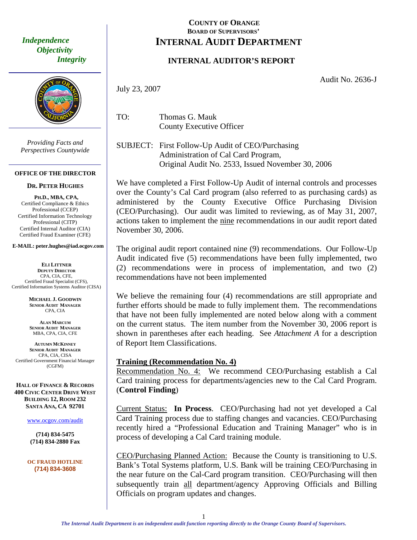*Objectivity Integrity* 



*Providing Facts and Perspectives Countywide* 

#### **OFFICE OF THE DIRECTOR**

**DR. PETER HUGHES**

**PH.D., MBA, CPA,**  Certified Compliance & Ethics Professional (CCEP) Certified Information Technology Professional (CITP) Certified Internal Auditor (CIA) Certified Fraud Examiner (CFE)

#### **E-MAIL: peter.hughes@iad.ocgov.com**

**ELI LITTNER DEPUTY DIRECTOR** CPA, CIA, CFE, Certified Fraud Specialist (CFS), Certified Information Systems Auditor (CISA)

> **MICHAEL J. GOODWIN SENIOR AUDIT MANAGER** CPA, CIA

**ALAN MARCUM SENIOR AUDIT MANAGER** MBA, CPA, CIA, CFE

**AUTUMN MCKINNEY SENIOR AUDIT MANAGER** CPA, CIA, CISA Certified Government Financial Manager (CGFM)

**HALL OF FINANCE & RECORDS 400 CIVIC CENTER DRIVE WEST BUILDING 12, ROOM 232 SANTA ANA, CA 92701** 

www.ocgov.com/audit

**(714) 834-5475 14) 834-2880 Fax (7**

**OC FRAUD HOTLINE (714) 834-3608** 

### <span id="page-4-0"></span>**COUNTY OF ORANGE** *Independence* | **INTERNAL AUDIT DEPARTMENT BOARD OF SUPERVISORS'**

## **INTERNAL AUDITOR'S REPORT**

Audit No. 2636-J

July 23, 2007

TO: Thomas G. Mauk County Executive Officer

SUBJECT: First Follow-Up Audit of CEO/Purchasing Administration of Cal Card Program, Original Audit No. 2533, Issued November 30, 2006

We have completed a First Follow-Up Audit of internal controls and processes over the County's Cal Card program (also referred to as purchasing cards) as administered by the County Executive Office Purchasing Division (CEO/Purchasing). Our audit was limited to reviewing, as of May 31, 2007, actions taken to implement the nine recommendations in our audit report dated November 30, 2006.

The original audit report contained nine (9) recommendations. Our Follow-Up Audit indicated five (5) recommendations have been fully implemented, two (2) recommendations were in process of implementation, and two (2) recommendations have not been implemented

We believe the remaining four (4) recommendations are still appropriate and further efforts should be made to fully implement them. The recommendations that have not been fully implemented are noted below along with a comment on the current status. The item number from the November 30, 2006 report is shown in parentheses after each heading. See *Attachment A* for a description of Report Item Classifications.

#### **Training (Recommendation No. 4)**

Recommendation No. 4: We recommend CEO/Purchasing establish a Cal Card training process for departments/agencies new to the Cal Card Program. (**Control Finding**)

Current Status: **In Process**. CEO/Purchasing had not yet developed a Cal Card Training process due to staffing changes and vacancies. CEO/Purchasing recently hired a "Professional Education and Training Manager" who is in process of developing a Cal Card training module.

CEO/Purchasing Planned Action: Because the County is transitioning to U.S. Bank's Total Systems platform, U.S. Bank will be training CEO/Purchasing in the near future on the Cal-Card program transition. CEO/Purchasing will then subsequently train all department/agency Approving Officials and Billing Officials on program updates and changes.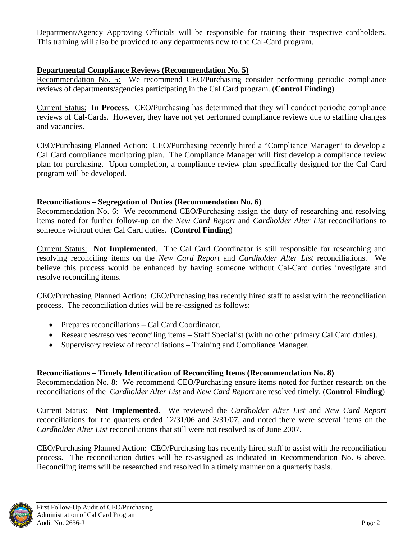Department/Agency Approving Officials will be responsible for training their respective cardholders. This training will also be provided to any departments new to the Cal-Card program.

## **Departmental Compliance Reviews (Recommendation No. 5)**

Recommendation No. 5: We recommend CEO/Purchasing consider performing periodic compliance reviews of departments/agencies participating in the Cal Card program. (**Control Finding**)

Current Status: **In Process**. CEO/Purchasing has determined that they will conduct periodic compliance reviews of Cal-Cards. However, they have not yet performed compliance reviews due to staffing changes and vacancies.

CEO/Purchasing Planned Action: CEO/Purchasing recently hired a "Compliance Manager" to develop a Cal Card compliance monitoring plan. The Compliance Manager will first develop a compliance review plan for purchasing. Upon completion, a compliance review plan specifically designed for the Cal Card program will be developed.

## **Reconciliations – Segregation of Duties (Recommendation No. 6)**

Recommendation No. 6: We recommend CEO/Purchasing assign the duty of researching and resolving items noted for further follow-up on the *New Card Report* and *Cardholder Alter List* reconciliations to someone without other Cal Card duties. (**Control Finding**)

Current Status: **Not Implemented**. The Cal Card Coordinator is still responsible for researching and resolving reconciling items on the *New Card Report* and *Cardholder Alter List* reconciliations. We believe this process would be enhanced by having someone without Cal-Card duties investigate and resolve reconciling items.

CEO/Purchasing Planned Action: CEO/Purchasing has recently hired staff to assist with the reconciliation process. The reconciliation duties will be re-assigned as follows:

- Prepares reconciliations Cal Card Coordinator.
- Researches/resolves reconciling items Staff Specialist (with no other primary Cal Card duties).
- Supervisory review of reconciliations Training and Compliance Manager.

## **Reconciliations – Timely Identification of Reconciling Items (Recommendation No. 8)**

Recommendation No. 8: We recommend CEO/Purchasing ensure items noted for further research on the reconciliations of the *Cardholder Alter List* and *New Card Report* are resolved timely. (**Control Finding**)

Current Status: **Not Implemented**. We reviewed the *Cardholder Alter List* and *New Card Report*  reconciliations for the quarters ended 12/31/06 and 3/31/07, and noted there were several items on the *Cardholder Alter List* reconciliations that still were not resolved as of June 2007.

CEO/Purchasing Planned Action: CEO/Purchasing has recently hired staff to assist with the reconciliation process. The reconciliation duties will be re-assigned as indicated in Recommendation No. 6 above. Reconciling items will be researched and resolved in a timely manner on a quarterly basis.

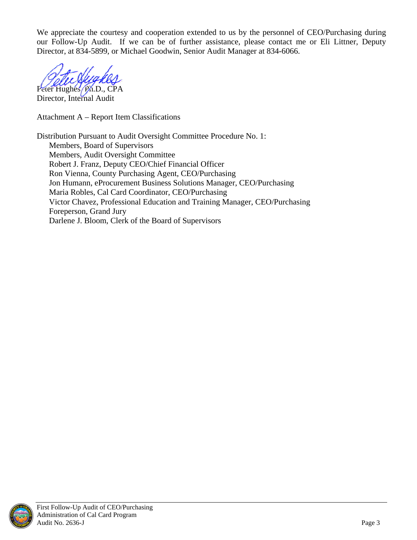We appreciate the courtesy and cooperation extended to us by the personnel of CEO/Purchasing during our Follow-Up Audit. If we can be of further assistance, please contact me or Eli Littner, Deputy Director, at 834-5899, or Michael Goodwin, Senior Audit Manager at 834-6066.

Peter Hughes, Ph.D., CPA

Director, Internal Audit

Attachment A – Report Item Classifications

Distribution Pursuant to Audit Oversight Committee Procedure No. 1: Members, Board of Supervisors Members, Audit Oversight Committee Robert J. Franz, Deputy CEO/Chief Financial Officer Ron Vienna, County Purchasing Agent, CEO/Purchasing Jon Humann, eProcurement Business Solutions Manager, CEO/Purchasing Maria Robles, Cal Card Coordinator, CEO/Purchasing Victor Chavez, Professional Education and Training Manager, CEO/Purchasing Foreperson, Grand Jury Darlene J. Bloom, Clerk of the Board of Supervisors